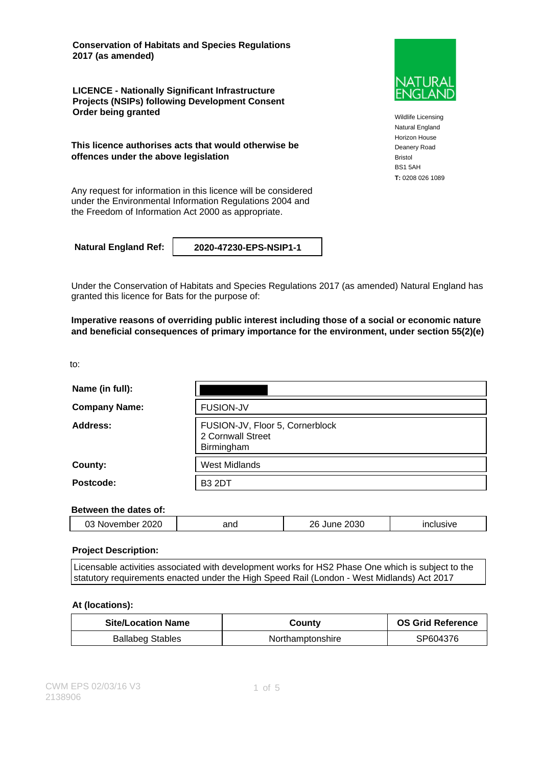**Conservation of Habitats and Species Regulations 2017 (as amended)**

**LICENCE - Nationally Significant Infrastructure Projects (NSIPs) following Development Consent Order being granted**

**This licence authorises acts that would otherwise be offences under the above legislation**

Any request for information in this licence will be considered under the Environmental Information Regulations 2004 and the Freedom of Information Act 2000 as appropriate.

**Natural England Ref: 2020-47230-EPS-NSIP1-1**

Under the Conservation of Habitats and Species Regulations 2017 (as amended) Natural England has granted this licence for Bats for the purpose of:

**Imperative reasons of overriding public interest including those of a social or economic nature and beneficial consequences of primary importance for the environment, under section 55(2)(e)**

to:

| Name (in full):      |                                                                    |
|----------------------|--------------------------------------------------------------------|
| <b>Company Name:</b> | <b>FUSION-JV</b>                                                   |
| Address:             | FUSION-JV, Floor 5, Cornerblock<br>2 Cornwall Street<br>Birmingham |
| County:              | <b>West Midlands</b>                                               |
| Postcode:            | <b>B3 2DT</b>                                                      |

#### **Between the dates of:**

|  | 2020<br>IM 6<br>بے ر<br>⊣ענ | and | 2030<br>ንድ | .<br>. <del>.</del> |
|--|-----------------------------|-----|------------|---------------------|
|--|-----------------------------|-----|------------|---------------------|

#### **Project Description:**

Licensable activities associated with development works for HS2 Phase One which is subject to the statutory requirements enacted under the High Speed Rail (London - West Midlands) Act 2017

#### **At (locations):**

| <b>Site/Location Name</b> | Countv           | <b>OS Grid Reference</b> |
|---------------------------|------------------|--------------------------|
| <b>Ballabeg Stables</b>   | Northamptonshire | SP604376                 |



Wildlife Licensing Natural England Horizon House Deanery Road Bristol BS1 5AH **T:** 0208 026 1089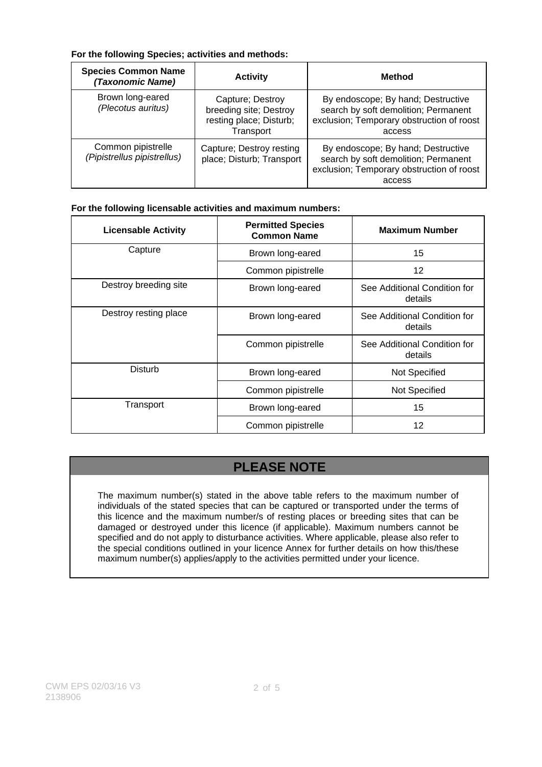### **For the following Species; activities and methods:**

| <b>Species Common Name</b><br>(Taxonomic Name)    | <b>Activity</b>                                                                    | <b>Method</b>                                                                                                                     |
|---------------------------------------------------|------------------------------------------------------------------------------------|-----------------------------------------------------------------------------------------------------------------------------------|
| Brown long-eared<br>(Plecotus auritus)            | Capture; Destroy<br>breeding site; Destroy<br>resting place; Disturb;<br>Transport | By endoscope; By hand; Destructive<br>search by soft demolition; Permanent<br>exclusion; Temporary obstruction of roost<br>access |
| Common pipistrelle<br>(Pipistrellus pipistrellus) | Capture; Destroy resting<br>place; Disturb; Transport                              | By endoscope; By hand; Destructive<br>search by soft demolition; Permanent<br>exclusion; Temporary obstruction of roost<br>access |

### **For the following licensable activities and maximum numbers:**

| <b>Licensable Activity</b> | <b>Permitted Species</b><br><b>Common Name</b> | <b>Maximum Number</b>                   |
|----------------------------|------------------------------------------------|-----------------------------------------|
| Capture                    | Brown long-eared                               | 15                                      |
|                            | Common pipistrelle                             | 12                                      |
| Destroy breeding site      | Brown long-eared                               | See Additional Condition for<br>details |
| Destroy resting place      | Brown long-eared                               | See Additional Condition for<br>details |
|                            | Common pipistrelle                             | See Additional Condition for<br>details |
| Disturb                    | Brown long-eared                               | Not Specified                           |
|                            | Common pipistrelle                             | Not Specified                           |
| Transport                  | Brown long-eared                               | 15                                      |
|                            | Common pipistrelle                             | 12                                      |

# **PLEASE NOTE**

The maximum number(s) stated in the above table refers to the maximum number of individuals of the stated species that can be captured or transported under the terms of this licence and the maximum number/s of resting places or breeding sites that can be damaged or destroyed under this licence (if applicable). Maximum numbers cannot be specified and do not apply to disturbance activities. Where applicable, please also refer to the special conditions outlined in your licence Annex for further details on how this/these maximum number(s) applies/apply to the activities permitted under your licence.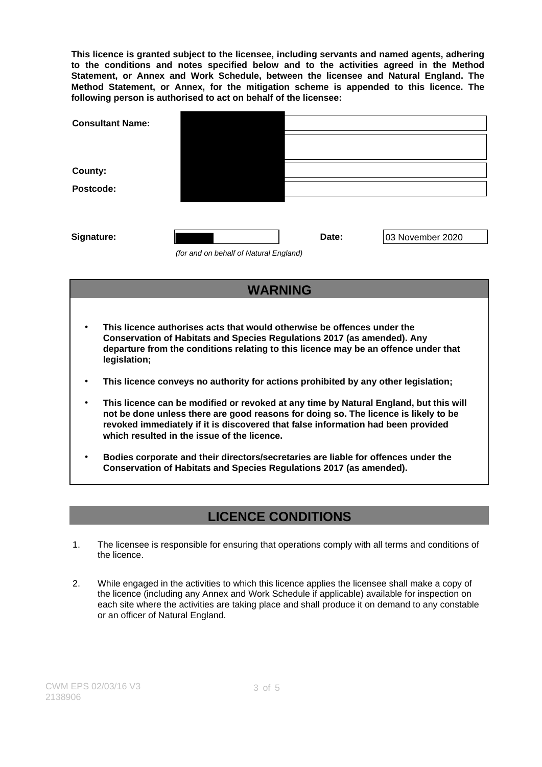**This licence is granted subject to the licensee, including servants and named agents, adhering to the conditions and notes specified below and to the activities agreed in the Method Statement, or Annex and Work Schedule, between the licensee and Natural England. The Method Statement, or Annex, for the mitigation scheme is appended to this licence. The following person is authorised to act on behalf of the licensee:**

| <b>Consultant Name:</b> |                                        |       |                  |
|-------------------------|----------------------------------------|-------|------------------|
|                         |                                        |       |                  |
| <b>County:</b>          |                                        |       |                  |
| Postcode:               |                                        |       |                  |
|                         |                                        |       |                  |
| Signature:              |                                        | Date: | 03 November 2020 |
|                         | (for and on behalf of Natural England) |       |                  |

### **WARNING**

- **This licence authorises acts that would otherwise be offences under the Conservation of Habitats and Species Regulations 2017 (as amended). Any departure from the conditions relating to this licence may be an offence under that legislation;**
- **This licence conveys no authority for actions prohibited by any other legislation;**
- **This licence can be modified or revoked at any time by Natural England, but this will not be done unless there are good reasons for doing so. The licence is likely to be revoked immediately if it is discovered that false information had been provided which resulted in the issue of the licence.**
- **Bodies corporate and their directors/secretaries are liable for offences under the Conservation of Habitats and Species Regulations 2017 (as amended).**

## **LICENCE CONDITIONS**

- 1. The licensee is responsible for ensuring that operations comply with all terms and conditions of the licence.
- 2. While engaged in the activities to which this licence applies the licensee shall make a copy of the licence (including any Annex and Work Schedule if applicable) available for inspection on each site where the activities are taking place and shall produce it on demand to any constable or an officer of Natural England.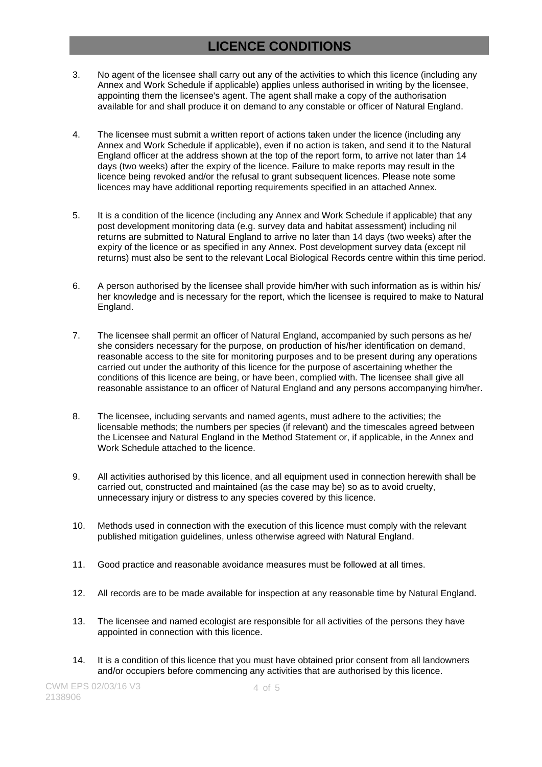## **LICENCE CONDITIONS**

- 3. No agent of the licensee shall carry out any of the activities to which this licence (including any Annex and Work Schedule if applicable) applies unless authorised in writing by the licensee, appointing them the licensee's agent. The agent shall make a copy of the authorisation available for and shall produce it on demand to any constable or officer of Natural England.
- 4. The licensee must submit a written report of actions taken under the licence (including any Annex and Work Schedule if applicable), even if no action is taken, and send it to the Natural England officer at the address shown at the top of the report form, to arrive not later than 14 days (two weeks) after the expiry of the licence. Failure to make reports may result in the licence being revoked and/or the refusal to grant subsequent licences. Please note some licences may have additional reporting requirements specified in an attached Annex.
- 5. It is a condition of the licence (including any Annex and Work Schedule if applicable) that any post development monitoring data (e.g. survey data and habitat assessment) including nil returns are submitted to Natural England to arrive no later than 14 days (two weeks) after the expiry of the licence or as specified in any Annex. Post development survey data (except nil returns) must also be sent to the relevant Local Biological Records centre within this time period.
- 6. A person authorised by the licensee shall provide him/her with such information as is within his/ her knowledge and is necessary for the report, which the licensee is required to make to Natural England.
- 7. The licensee shall permit an officer of Natural England, accompanied by such persons as he/ she considers necessary for the purpose, on production of his/her identification on demand, reasonable access to the site for monitoring purposes and to be present during any operations carried out under the authority of this licence for the purpose of ascertaining whether the conditions of this licence are being, or have been, complied with. The licensee shall give all reasonable assistance to an officer of Natural England and any persons accompanying him/her.
- 8. The licensee, including servants and named agents, must adhere to the activities; the licensable methods; the numbers per species (if relevant) and the timescales agreed between the Licensee and Natural England in the Method Statement or, if applicable, in the Annex and Work Schedule attached to the licence.
- 9. All activities authorised by this licence, and all equipment used in connection herewith shall be carried out, constructed and maintained (as the case may be) so as to avoid cruelty, unnecessary injury or distress to any species covered by this licence.
- 10. Methods used in connection with the execution of this licence must comply with the relevant published mitigation guidelines, unless otherwise agreed with Natural England.
- 11. Good practice and reasonable avoidance measures must be followed at all times.
- 12. All records are to be made available for inspection at any reasonable time by Natural England.
- 13. The licensee and named ecologist are responsible for all activities of the persons they have appointed in connection with this licence.
- 14. It is a condition of this licence that you must have obtained prior consent from all landowners and/or occupiers before commencing any activities that are authorised by this licence.